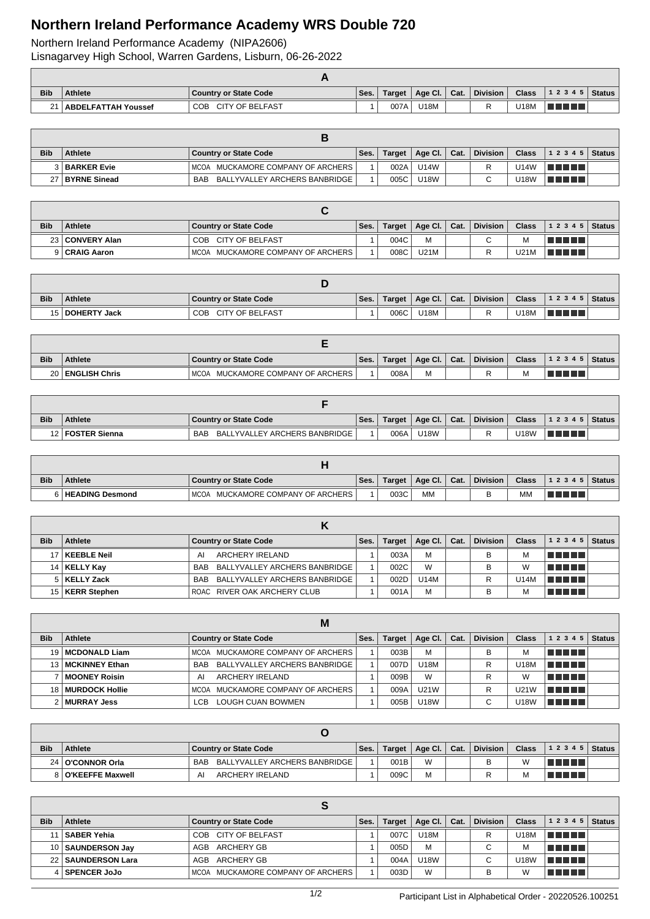## **Northern Ireland Performance Academy WRS Double 720**

Northern Ireland Performance Academy (NIPA2606) Lisnagarvey High School, Warren Gardens, Lisburn, 06-26-2022

| <b>Bib</b> | <b>Athlete</b>           | Country or State Code | Ses. | $T \n{ are } t$ | Age Cl. Cat. | Division | <b>Class</b> | 12345   Status |  |
|------------|--------------------------|-----------------------|------|-----------------|--------------|----------|--------------|----------------|--|
|            | 21   ABDELFATTAH Youssef | COB CITY OF BELFAST   |      | 007A            | U18M         |          | J18M         | l a shekar     |  |

| <b>Bib</b> | <b>Athlete</b>  | Country or State Code                         | Ses. |      | Target   Age Cl.   Cat. | <b>Division</b> | <b>Class</b> | $ 12345 $ Status |  |
|------------|-----------------|-----------------------------------------------|------|------|-------------------------|-----------------|--------------|------------------|--|
|            | 3 BARKER Evie   | MCOA MUCKAMORE COMPANY OF ARCHERS             |      | 002A | U14W                    |                 | U14W         | TI TITLET        |  |
|            | 27 BYRNE Sinead | BALLYVALLEY ARCHERS BANBRIDGE  <br><b>BAB</b> |      | 005C | <b>U18W</b>             |                 | U18W         | TI TI TITL       |  |

| <b>Bib</b> | <b>Athlete</b>    | <b>Country or State Code</b>      | Ses. | <b>Target</b> | Age Cl.   Cat. | <b>Division</b> | <b>Class</b> | 1 2 3 4 5 | Status |
|------------|-------------------|-----------------------------------|------|---------------|----------------|-----------------|--------------|-----------|--------|
|            | 23   CONVERY Alan | COB CITY OF BELFAST               |      | 004C          | M              | $\sim$          | M            | TELET     |        |
|            | 9 CRAIG Aaron     | MCOA MUCKAMORE COMPANY OF ARCHERS |      | 008C          | <b>U21M</b>    |                 | U21M         | TI TITI T |        |

| <b>Bib</b> | <b>Athlete</b>    | <b>Country or State Code</b> | Ses. | Target | $\big\backslash$ Age Cl. $\big\backslash$ | Cat. | <b>Division</b> | <b>Class</b> | 1 2 3 4 5   Status |  |
|------------|-------------------|------------------------------|------|--------|-------------------------------------------|------|-----------------|--------------|--------------------|--|
|            | 15   DOHERTY Jack | COB CITY OF BELFAST          |      | 006C   | U18M                                      |      |                 | U18M         | <u> El Esta</u>    |  |

| <b>Bib</b> | <b>Athlete</b>     | Country or State Code                | Ses. | Target | $^{\circ}$ Age Cl. $_{\rm L}$ | Cat. | <b>Division</b> | <b>Class</b> | 12345                     | <b>Status</b> |
|------------|--------------------|--------------------------------------|------|--------|-------------------------------|------|-----------------|--------------|---------------------------|---------------|
|            | 20   ENGLISH Chris | MUCKAMORE COMPANY OF ARCHERS<br>MCOA |      | 008A   | М                             |      |                 | м            | a propinsi Kabupatén Band |               |

| <b>Bib</b> | <b>Athlete</b>     | Country or State Code                | Ses. | Target | $\Box$ Age Cl. $\Box$ Cat. | <b>Division</b> | <b>Class</b> | 12345     | <b>Status</b> |
|------------|--------------------|--------------------------------------|------|--------|----------------------------|-----------------|--------------|-----------|---------------|
|            | 12   FOSTER Sienna | BALLYVALLEY ARCHERS BANBRIDGE<br>BAB |      | 006A   | <b>U18W</b>                |                 | <b>J18W</b>  | T FIFTI T |               |

| <b>Bib</b> | <b>Athlete</b>      | Country or State Code                | Ses. | Target | Age Cl.   | Cat. | <b>Division</b> | <b>Class</b> | 1 2 3 4 5   Status |  |
|------------|---------------------|--------------------------------------|------|--------|-----------|------|-----------------|--------------|--------------------|--|
|            | 6   HEADING Desmond | MUCKAMORE COMPANY OF ARCHERS<br>MCOA |      | 003C   | <b>MM</b> |      |                 | MN           | VE ELLA            |  |

| <b>Bib</b> | <b>Athlete</b>    | <b>Country or State Code</b>      | Ses. | Target | Age Cl. $\vert$ | Cat. | <b>Division</b> | <b>Class</b> | 12345           | <b>Status</b> |
|------------|-------------------|-----------------------------------|------|--------|-----------------|------|-----------------|--------------|-----------------|---------------|
|            | 17   KEEBLE Neil  | ARCHERY IRELAND<br>AI             |      | 003A   | M               |      | B               |              | T FIFIT T       |               |
|            | 14   KELLY Kay    | BAB BALLYVALLEY ARCHERS BANBRIDGE |      | 002C   | W               |      | B               | W            | <u>in minim</u> |               |
|            | 5   KELLY Zack    | BAB BALLYVALLEY ARCHERS BANBRIDGE |      | 002D   | <b>U14M</b>     |      | R               | U14M         | l Timor Timor   |               |
|            | 15   KERR Stephen | ROAC RIVER OAK ARCHERY CLUB       |      | 001A   | M               |      | в               |              | TI TITLE        |               |

|            | M                     |                                             |      |               |                 |      |                 |              |                   |               |  |  |
|------------|-----------------------|---------------------------------------------|------|---------------|-----------------|------|-----------------|--------------|-------------------|---------------|--|--|
| <b>Bib</b> | Athlete               | <b>Country or State Code</b>                | Ses. | <b>Target</b> | Age Cl. $\vert$ | Cat. | <b>Division</b> | <b>Class</b> | 1 2 3 4 5         | <b>Status</b> |  |  |
|            | 19   MCDONALD Liam    | MCOA MUCKAMORE COMPANY OF ARCHERS           |      | 003B          | M               |      | в               | м            | <u>in minim</u>   |               |  |  |
| 13 I       | <b>MCKINNEY Ethan</b> | BALLYVALLEY ARCHERS BANBRIDGE<br><b>BAB</b> |      | 007D          | <b>U18M</b>     |      | R               | U18M         | le e comen        |               |  |  |
|            | MOONEY Roisin         | ARCHERY IRELAND<br>AI                       |      | 009B          | W               |      | R               | W            | <u>in Finns</u>   |               |  |  |
| 18 I       | MURDOCK Hollie        | MCOA MUCKAMORE COMPANY OF ARCHERS           |      | 009A          | <b>U21W</b>     |      | R               | U21W         | l Titolin Titolin |               |  |  |
|            | ∣MURRAY Jess          | <b>LOUGH CUAN BOWMEN</b><br>I CB.           |      | 005B          | <b>U18W</b>     |      | $\sim$          | U18W         | T FIFIT FI        |               |  |  |

| <b>Bib</b> | Athlete              | Country or State Code             | Ses. | Target | Age Cl. | $\mathsf{Cat}$ . | <b>Division</b> | <b>Class</b> | $12345$ Status |  |
|------------|----------------------|-----------------------------------|------|--------|---------|------------------|-----------------|--------------|----------------|--|
|            | 24 O'CONNOR Orla     | BAB BALLYVALLEY ARCHERS BANBRIDGE |      | 001B   | W       |                  |                 | W            | T FI FI        |  |
|            | 8   O'KEEFFE Maxwell | ARCHERY IRELAND<br>Al             |      | 009C   | М       |                  |                 |              | TI TITLE       |  |

| <b>Bib</b> | <b>Athlete</b>       | <b>Country or State Code</b>      | Ses. | Target | Age Cl.   Cat. | <b>Division</b> | <b>Class</b> | 12345                               | <b>Status</b> |
|------------|----------------------|-----------------------------------|------|--------|----------------|-----------------|--------------|-------------------------------------|---------------|
|            | 11   SABER Yehia     | COB CITY OF BELFAST               |      | 007C   | <b>U18M</b>    |                 | U18M         | l Titolin T                         |               |
|            | 10   SAUNDERSON Jay  | ARCHERY GB<br>AGB                 |      | 005D   | M              | C               | M            | n din bin                           |               |
|            | 22   SAUNDERSON Lara | ARCHERY GB<br>AGB                 |      | 004A   | <b>U18W</b>    | ⌒               | U18W         | TI TITLE                            |               |
|            | 4   SPENCER JoJo     | MCOA MUCKAMORE COMPANY OF ARCHERS |      | 003D   | W              |                 | W            | a kacamatan ing Kabupatén Kabupatén |               |